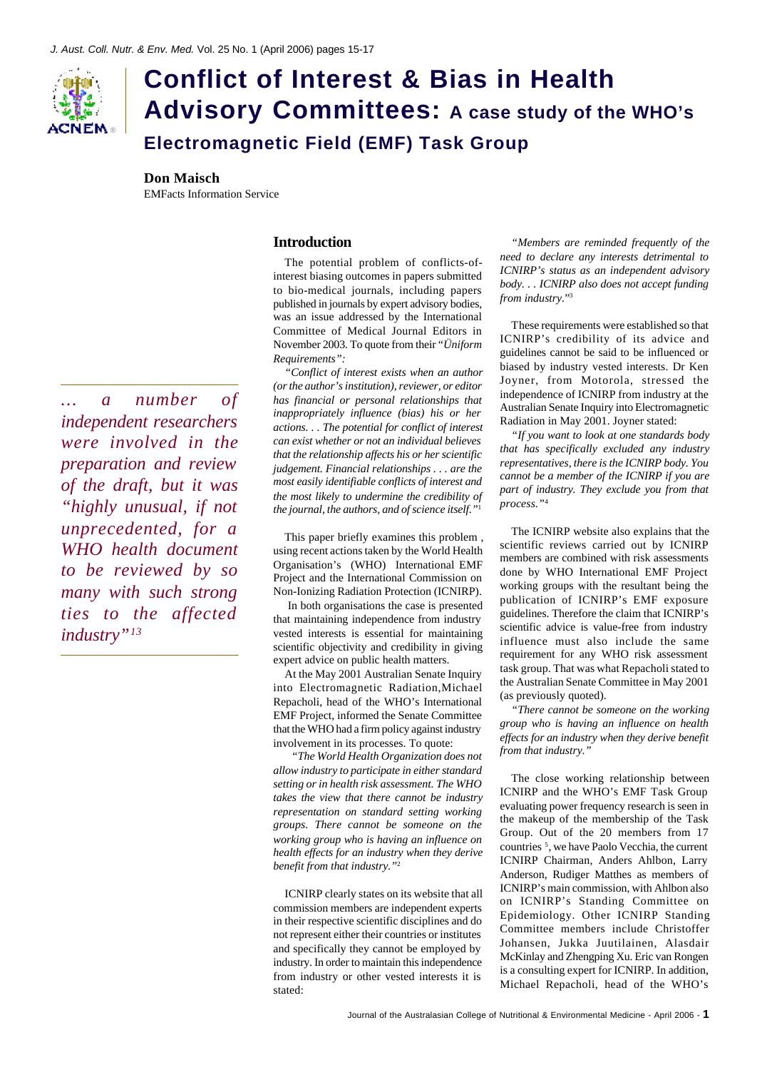

# **Conflict of Interest & Bias in Health Advisory Committees: A case study of the WHO's Electromagnetic Field (EMF) Task Group**

**Don Maisch** EMFacts Information Service

## **Introduction**

The potential problem of conflicts-ofinterest biasing outcomes in papers submitted to bio-medical journals, including papers published in journals by expert advisory bodies, was an issue addressed by the International Committee of Medical Journal Editors in November 2003. To quote from their *"Üniform Requirements":*

*"Conflict of interest exists when an author (or the author's institution), reviewer, or editor has financial or personal relationships that inappropriately influence (bias) his or her actions. . . The potential for conflict of interest can exist whether or not an individual believes that the relationship affects his or her scientific judgement. Financial relationships . . . are the most easily identifiable conflicts of interest and the most likely to undermine the credibility of the journal, the authors, and of science itself."*<sup>1</sup>

This paper briefly examines this problem , using recent actions taken by the World Health Organisation's (WHO) International EMF Project and the International Commission on Non-Ionizing Radiation Protection (ICNIRP).

 In both organisations the case is presented that maintaining independence from industry vested interests is essential for maintaining scientific objectivity and credibility in giving expert advice on public health matters.

At the May 2001 Australian Senate Inquiry into Electromagnetic Radiation,Michael Repacholi, head of the WHO's International EMF Project, informed the Senate Committee that the WHO had a firm policy against industry involvement in its processes. To quote:

*"The World Health Organization does not allow industry to participate in either standard setting or in health risk assessment. The WHO takes the view that there cannot be industry representation on standard setting working groups. There cannot be someone on the working group who is having an influence on health effects for an industry when they derive benefit from that industry."*<sup>2</sup>

ICNIRP clearly states on its website that all commission members are independent experts in their respective scientific disciplines and do not represent either their countries or institutes and specifically they cannot be employed by industry. In order to maintain this independence from industry or other vested interests it is stated:

*"Members are reminded frequently of the need to declare any interests detrimental to ICNIRP's status as an independent advisory body. . . ICNIRP also does not accept funding from industry.*" 3

These requirements were established so that ICNIRP's credibility of its advice and guidelines cannot be said to be influenced or biased by industry vested interests. Dr Ken Joyner, from Motorola, stressed the independence of ICNIRP from industry at the Australian Senate Inquiry into Electromagnetic Radiation in May 2001. Joyner stated:

*"If you want to look at one standards body that has specifically excluded any industry representatives, there is the ICNIRP body. You cannot be a member of the ICNIRP if you are part of industry. They exclude you from that process."*<sup>4</sup>

The ICNIRP website also explains that the scientific reviews carried out by ICNIRP members are combined with risk assessments done by WHO International EMF Project working groups with the resultant being the publication of ICNIRP's EMF exposure guidelines. Therefore the claim that ICNIRP's scientific advice is value-free from industry influence must also include the same requirement for any WHO risk assessment task group. That was what Repacholi stated to the Australian Senate Committee in May 2001 (as previously quoted).

*"There cannot be someone on the working group who is having an influence on health effects for an industry when they derive benefit from that industry."*

The close working relationship between ICNIRP and the WHO's EMF Task Group evaluating power frequency research is seen in the makeup of the membership of the Task Group. Out of the 20 members from 17 countries <sup>5</sup> , we have Paolo Vecchia, the current ICNIRP Chairman, Anders Ahlbon, Larry Anderson, Rudiger Matthes as members of ICNIRP's main commission, with Ahlbon also on ICNIRP's Standing Committee on Epidemiology. Other ICNIRP Standing Committee members include Christoffer Johansen, Jukka Juutilainen, Alasdair McKinlay and Zhengping Xu. Eric van Rongen is a consulting expert for ICNIRP. In addition, Michael Repacholi, head of the WHO's

*... a number of independent researchers were involved in the preparation and review of the draft, but it was "highly unusual, if not unprecedented, for a WHO health document to be reviewed by so many with such strong ties to the affected industry"13*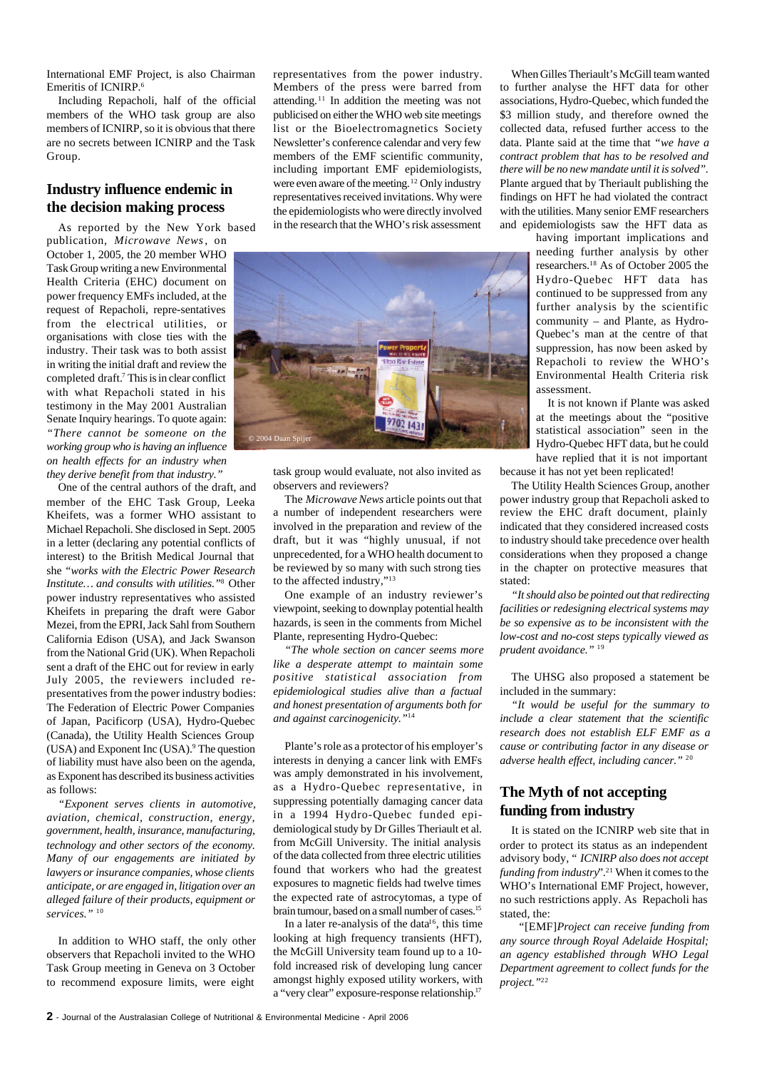International EMF Project, is also Chairman Emeritis of ICNIRP.<sup>6</sup>

Including Repacholi, half of the official members of the WHO task group are also members of ICNIRP, so it is obvious that there are no secrets between ICNIRP and the Task Group.

# **Industry influence endemic in the decision making process**

As reported by the New York based publication, *Microwave News*, on October 1, 2005, the 20 member WHO Task Group writing a new Environmental Health Criteria (EHC) document on power frequency EMFs included, at the request of Repacholi, repre-sentatives from the electrical utilities, or organisations with close ties with the industry. Their task was to both assist in writing the initial draft and review the completed draft.<sup>7</sup> This is in clear conflict with what Repacholi stated in his testimony in the May 2001 Australian Senate Inquiry hearings. To quote again: *"There cannot be someone on the working group who is having an influence on health effects for an industry when they derive benefit from that industry."*

One of the central authors of the draft, and member of the EHC Task Group, Leeka Kheifets, was a former WHO assistant to Michael Repacholi. She disclosed in Sept. 2005 in a letter (declaring any potential conflicts of interest) to the British Medical Journal that she *"works with the Electric Power Research Institute… and consults with utilities."*<sup>8</sup> Other power industry representatives who assisted Kheifets in preparing the draft were Gabor Mezei, from the EPRI, Jack Sahl from Southern California Edison (USA), and Jack Swanson from the National Grid (UK). When Repacholi sent a draft of the EHC out for review in early July 2005, the reviewers included representatives from the power industry bodies: The Federation of Electric Power Companies of Japan, Pacificorp (USA), Hydro-Quebec (Canada), the Utility Health Sciences Group (USA) and Exponent Inc (USA).<sup>9</sup> The question of liability must have also been on the agenda, as Exponent has described its business activities as follows:

*"Exponent serves clients in automotive, aviation, chemical, construction, energy, government, health, insurance, manufacturing, technology and other sectors of the economy. Many of our engagements are initiated by lawyers or insurance companies, whose clients anticipate, or are engaged in, litigation over an alleged failure of their products, equipment or services."* <sup>10</sup>

In addition to WHO staff, the only other observers that Repacholi invited to the WHO Task Group meeting in Geneva on 3 October to recommend exposure limits, were eight

representatives from the power industry. Members of the press were barred from attending.11 In addition the meeting was not publicised on either the WHO web site meetings list or the Bioelectromagnetics Society Newsletter's conference calendar and very few members of the EMF scientific community, including important EMF epidemiologists, were even aware of the meeting.<sup>12</sup> Only industry representatives received invitations. Why were the epidemiologists who were directly involved in the research that the WHO's risk assessment



task group would evaluate, not also invited as observers and reviewers?

The *Microwave News* article points out that a number of independent researchers were involved in the preparation and review of the draft, but it was "highly unusual, if not unprecedented, for a WHO health document to be reviewed by so many with such strong ties to the affected industry,"<sup>13</sup>

One example of an industry reviewer's viewpoint, seeking to downplay potential health hazards, is seen in the comments from Michel Plante, representing Hydro-Quebec:

*"The whole section on cancer seems more like a desperate attempt to maintain some positive statistical association from epidemiological studies alive than a factual and honest presentation of arguments both for and against carcinogenicity."*<sup>14</sup>

Plante's role as a protector of his employer's interests in denying a cancer link with EMFs was amply demonstrated in his involvement, as a Hydro-Quebec representative, in suppressing potentially damaging cancer data in a 1994 Hydro-Quebec funded epidemiological study by Dr Gilles Theriault et al. from McGill University. The initial analysis of the data collected from three electric utilities found that workers who had the greatest exposures to magnetic fields had twelve times the expected rate of astrocytomas, a type of brain tumour, based on a small number of cases.<sup>15</sup>

In a later re-analysis of the data $16$ , this time looking at high frequency transients (HFT), the McGill University team found up to a 10 fold increased risk of developing lung cancer amongst highly exposed utility workers, with a "very clear" exposure-response relationship.<sup>17</sup>

When Gilles Theriault's McGill team wanted to further analyse the HFT data for other associations, Hydro-Quebec, which funded the \$3 million study, and therefore owned the collected data, refused further access to the data. Plante said at the time that *"we have a contract problem that has to be resolved and there will be no new mandate until it is solved".* Plante argued that by Theriault publishing the findings on HFT he had violated the contract with the utilities. Many senior EMF researchers and epidemiologists saw the HFT data as

having important implications and needing further analysis by other researchers.18 As of October 2005 the Hydro-Quebec HFT data has continued to be suppressed from any further analysis by the scientific community – and Plante, as Hydro-Quebec's man at the centre of that suppression, has now been asked by Repacholi to review the WHO's Environmental Health Criteria risk assessment.

It is not known if Plante was asked at the meetings about the "positive statistical association" seen in the Hydro-Quebec HFT data, but he could have replied that it is not important

because it has not yet been replicated!

The Utility Health Sciences Group, another power industry group that Repacholi asked to review the EHC draft document, plainly indicated that they considered increased costs to industry should take precedence over health considerations when they proposed a change in the chapter on protective measures that stated:

*"It should also be pointed out that redirecting facilities or redesigning electrical systems may be so expensive as to be inconsistent with the low-cost and no-cost steps typically viewed as prudent avoidance."* <sup>19</sup>

The UHSG also proposed a statement be included in the summary:

*"It would be useful for the summary to include a clear statement that the scientific research does not establish ELF EMF as a cause or contributing factor in any disease or adverse health effect, including cancer."* <sup>20</sup>

## **The Myth of not accepting funding from industry**

It is stated on the ICNIRP web site that in order to protect its status as an independent advisory body, " *ICNIRP also does not accept funding from industry*".21 When it comes to the WHO's International EMF Project, however, no such restrictions apply. As Repacholi has stated, the:

 *"*[EMF]*Project can receive funding from any source through Royal Adelaide Hospital; an agency established through WHO Legal Department agreement to collect funds for the project."*<sup>22</sup>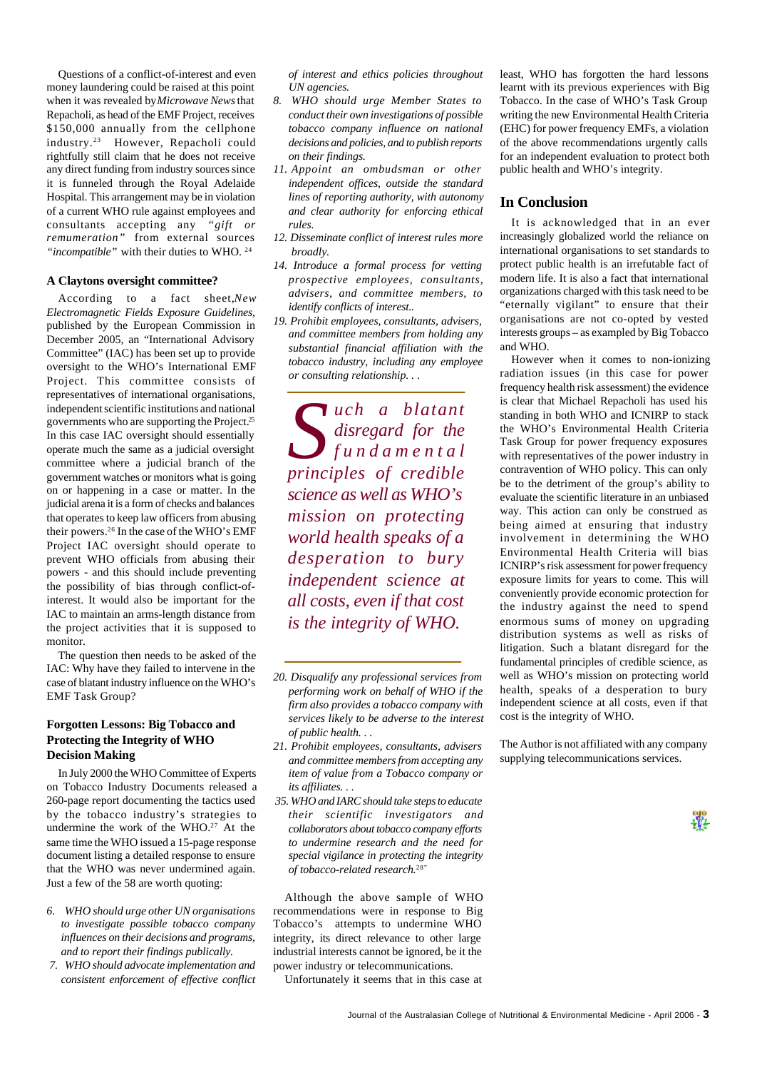Questions of a conflict-of-interest and even money laundering could be raised at this point when it was revealed by *Microwave News* that Repacholi, as head of the EMF Project, receives \$150,000 annually from the cellphone industry.23 However, Repacholi could rightfully still claim that he does not receive any direct funding from industry sources since it is funneled through the Royal Adelaide Hospital. This arrangement may be in violation of a current WHO rule against employees and consultants accepting any *"gift or remumeration"* from external sources *"incompatible"* with their duties to WHO. <sup>24</sup>

#### **A Claytons oversight committee?**

According to a fact sheet,*New Electromagnetic Fields Exposure Guidelines,* published by the European Commission in December 2005, an "International Advisory Committee" (IAC) has been set up to provide oversight to the WHO's International EMF Project. This committee consists of representatives of international organisations, independent scientific institutions and national governments who are supporting the Project.<sup>25</sup> In this case IAC oversight should essentially operate much the same as a judicial oversight committee where a judicial branch of the government watches or monitors what is going on or happening in a case or matter. In the judicial arena it is a form of checks and balances that operates to keep law officers from abusing their powers.26 In the case of the WHO's EMF Project IAC oversight should operate to prevent WHO officials from abusing their powers - and this should include preventing the possibility of bias through conflict-ofinterest. It would also be important for the IAC to maintain an arms-length distance from the project activities that it is supposed to monitor.

The question then needs to be asked of the IAC: Why have they failed to intervene in the case of blatant industry influence on the WHO's EMF Task Group?

### **Forgotten Lessons: Big Tobacco and Protecting the Integrity of WHO Decision Making**

In July 2000 the WHO Committee of Experts on Tobacco Industry Documents released a 260-page report documenting the tactics used by the tobacco industry's strategies to undermine the work of the WHO.<sup>27</sup> At the same time the WHO issued a 15-page response document listing a detailed response to ensure that the WHO was never undermined again. Just a few of the 58 are worth quoting:

- *6. WHO should urge other UN organisations to investigate possible tobacco company influences on their decisions and programs, and to report their findings publically.*
- *7. WHO should advocate implementation and consistent enforcement of effective conflict*

*of interest and ethics policies throughout UN agencies.*

- *8. WHO should urge Member States to conduct their own investigations of possible tobacco company influence on national decisions and policies, and to publish reports on their findings.*
- *11. Appoint an ombudsman or other independent offices, outside the standard lines of reporting authority, with autonomy and clear authority for enforcing ethical rules.*
- *12. Disseminate conflict of interest rules more broadly.*
- *14. Introduce a formal process for vetting prospective employees, consultants, advisers, and committee members, to identify conflicts of interest..*
- *19. Prohibit employees, consultants, advisers, and committee members from holding any substantial financial affiliation with the tobacco industry, including any employee or consulting relationship. . .*

*S uch a blatant disregard for the fundamental principles of credible science as well as WHO's mission on protecting world health speaks of a desperation to bury independent science at all costs, even if that cost is the integrity of WHO.*

- *21. Prohibit employees, consultants, advisers and committee members from accepting any item of value from a Tobacco company or its affiliates. . .*
- *35. WHO and IARC should take steps to educate their scientific investigators and collaborators about tobacco company efforts to undermine research and the need for special vigilance in protecting the integrity of tobacco-related research.*28"

Although the above sample of WHO recommendations were in response to Big Tobacco's attempts to undermine WHO integrity, its direct relevance to other large industrial interests cannot be ignored, be it the power industry or telecommunications.

Unfortunately it seems that in this case at

least, WHO has forgotten the hard lessons learnt with its previous experiences with Big Tobacco. In the case of WHO's Task Group writing the new Environmental Health Criteria (EHC) for power frequency EMFs, a violation of the above recommendations urgently calls for an independent evaluation to protect both public health and WHO's integrity.

#### **In Conclusion**

It is acknowledged that in an ever increasingly globalized world the reliance on international organisations to set standards to protect public health is an irrefutable fact of modern life. It is also a fact that international organizations charged with this task need to be "eternally vigilant" to ensure that their organisations are not co-opted by vested interests groups – as exampled by Big Tobacco and WHO.

However when it comes to non-ionizing radiation issues (in this case for power frequency health risk assessment) the evidence is clear that Michael Repacholi has used his standing in both WHO and ICNIRP to stack the WHO's Environmental Health Criteria Task Group for power frequency exposures with representatives of the power industry in contravention of WHO policy. This can only be to the detriment of the group's ability to evaluate the scientific literature in an unbiased way. This action can only be construed as being aimed at ensuring that industry involvement in determining the WHO Environmental Health Criteria will bias ICNIRP's risk assessment for power frequency exposure limits for years to come. This will conveniently provide economic protection for the industry against the need to spend enormous sums of money on upgrading distribution systems as well as risks of litigation. Such a blatant disregard for the fundamental principles of credible science, as well as WHO's mission on protecting world health, speaks of a desperation to bury independent science at all costs, even if that cost is the integrity of WHO.

The Author is not affiliated with any company supplying telecommunications services.

X.

*<sup>20.</sup> Disqualify any professional services from performing work on behalf of WHO if the firm also provides a tobacco company with services likely to be adverse to the interest of public health. . .*